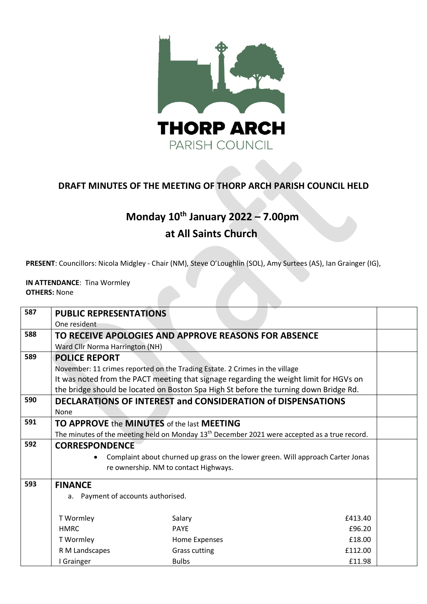

## **DRAFT MINUTES OF THE MEETING OF THORP ARCH PARISH COUNCIL HELD**

## **Monday 10 th January 2022 – 7.00pm at All Saints Church**

**PRESENT**: Councillors: Nicola Midgley - Chair (NM), Steve O'Loughlin (SOL), Amy Surtees (AS), Ian Grainger (IG),

**IN ATTENDANCE**: Tina Wormley **OTHERS:** None

| 587 | <b>PUBLIC REPRESENTATIONS</b>                                                                            |                      |         |  |  |
|-----|----------------------------------------------------------------------------------------------------------|----------------------|---------|--|--|
|     | One resident                                                                                             |                      |         |  |  |
| 588 | TO RECEIVE APOLOGIES AND APPROVE REASONS FOR ABSENCE                                                     |                      |         |  |  |
|     | Ward Cllr Norma Harrington (NH)                                                                          |                      |         |  |  |
| 589 | <b>POLICE REPORT</b>                                                                                     |                      |         |  |  |
|     | November: 11 crimes reported on the Trading Estate. 2 Crimes in the village                              |                      |         |  |  |
|     | It was noted from the PACT meeting that signage regarding the weight limit for HGVs on                   |                      |         |  |  |
|     | the bridge should be located on Boston Spa High St before the turning down Bridge Rd.                    |                      |         |  |  |
| 590 | <b>DECLARATIONS OF INTEREST and CONSIDERATION of DISPENSATIONS</b>                                       |                      |         |  |  |
|     | None                                                                                                     |                      |         |  |  |
| 591 | <b>TO APPROVE the MINUTES</b> of the last <b>MEETING</b>                                                 |                      |         |  |  |
|     | The minutes of the meeting held on Monday 13 <sup>th</sup> December 2021 were accepted as a true record. |                      |         |  |  |
| 592 | <b>CORRESPONDENCE</b>                                                                                    |                      |         |  |  |
|     | Complaint about churned up grass on the lower green. Will approach Carter Jonas                          |                      |         |  |  |
|     | re ownership. NM to contact Highways.                                                                    |                      |         |  |  |
| 593 | <b>FINANCE</b>                                                                                           |                      |         |  |  |
|     | a. Payment of accounts authorised.                                                                       |                      |         |  |  |
|     |                                                                                                          |                      |         |  |  |
|     | T Wormley                                                                                                | Salary               | £413.40 |  |  |
|     | <b>HMRC</b>                                                                                              | <b>PAYE</b>          | £96.20  |  |  |
|     | T Wormley                                                                                                | Home Expenses        | £18.00  |  |  |
|     | R M Landscapes                                                                                           | <b>Grass cutting</b> | £112.00 |  |  |
|     | I Grainger                                                                                               | <b>Bulbs</b>         | £11.98  |  |  |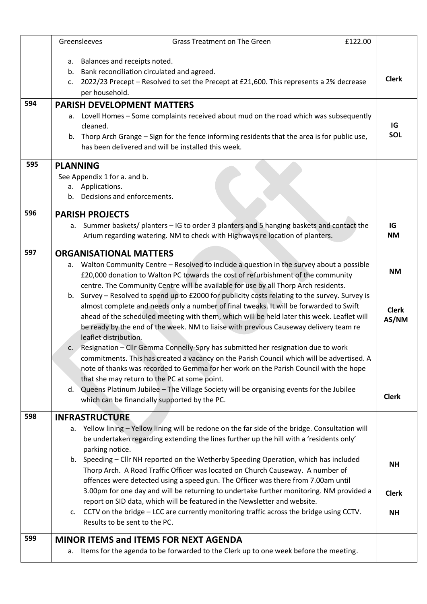|     | Greensleeves                                     | Grass Treatment on The Green<br>£122.00                                                                                                                                                                                                                                                                                                                                          |                       |
|-----|--------------------------------------------------|----------------------------------------------------------------------------------------------------------------------------------------------------------------------------------------------------------------------------------------------------------------------------------------------------------------------------------------------------------------------------------|-----------------------|
|     | c.<br>per household.                             | a. Balances and receipts noted.<br>b. Bank reconciliation circulated and agreed.<br>2022/23 Precept - Resolved to set the Precept at £21,600. This represents a 2% decrease                                                                                                                                                                                                      | <b>Clerk</b>          |
| 594 |                                                  | <b>PARISH DEVELOPMENT MATTERS</b><br>a. Lovell Homes - Some complaints received about mud on the road which was subsequently                                                                                                                                                                                                                                                     |                       |
|     | cleaned.                                         | b. Thorp Arch Grange - Sign for the fence informing residents that the area is for public use,<br>has been delivered and will be installed this week.                                                                                                                                                                                                                            | IG<br>SOL             |
| 595 | <b>PLANNING</b>                                  |                                                                                                                                                                                                                                                                                                                                                                                  |                       |
|     | See Appendix 1 for a. and b.<br>a. Applications. | b. Decisions and enforcements.                                                                                                                                                                                                                                                                                                                                                   |                       |
| 596 | <b>PARISH PROJECTS</b>                           |                                                                                                                                                                                                                                                                                                                                                                                  |                       |
|     |                                                  | a. Summer baskets/ planters - IG to order 3 planters and 5 hanging baskets and contact the<br>Arium regarding watering. NM to check with Highways re location of planters.                                                                                                                                                                                                       | IG<br><b>NM</b>       |
| 597 | <b>ORGANISATIONAL MATTERS</b>                    |                                                                                                                                                                                                                                                                                                                                                                                  |                       |
|     |                                                  | a. Walton Community Centre – Resolved to include a question in the survey about a possible<br>£20,000 donation to Walton PC towards the cost of refurbishment of the community<br>centre. The Community Centre will be available for use by all Thorp Arch residents.                                                                                                            | <b>NM</b>             |
|     | leaflet distribution.                            | b. Survey - Resolved to spend up to £2000 for publicity costs relating to the survey. Survey is<br>almost complete and needs only a number of final tweaks. It will be forwarded to Swift<br>ahead of the scheduled meeting with them, which will be held later this week. Leaflet will<br>be ready by the end of the week. NM to liaise with previous Causeway delivery team re | <b>Clerk</b><br>AS/NM |
|     |                                                  | c. Resignation - Cllr Gemma Connelly-Spry has submitted her resignation due to work<br>commitments. This has created a vacancy on the Parish Council which will be advertised. A<br>note of thanks was recorded to Gemma for her work on the Parish Council with the hope<br>that she may return to the PC at some point.                                                        |                       |
|     | d.                                               | Queens Platinum Jubilee - The Village Society will be organising events for the Jubilee<br>which can be financially supported by the PC.                                                                                                                                                                                                                                         | <b>Clerk</b>          |
| 598 | <b>INFRASTRUCTURE</b>                            |                                                                                                                                                                                                                                                                                                                                                                                  |                       |
|     | parking notice.                                  | a. Yellow lining - Yellow lining will be redone on the far side of the bridge. Consultation will<br>be undertaken regarding extending the lines further up the hill with a 'residents only'                                                                                                                                                                                      |                       |
|     |                                                  | b. Speeding - Cllr NH reported on the Wetherby Speeding Operation, which has included<br>Thorp Arch. A Road Traffic Officer was located on Church Causeway. A number of<br>offences were detected using a speed gun. The Officer was there from 7.00am until                                                                                                                     | <b>NH</b>             |
|     |                                                  | 3.00pm for one day and will be returning to undertake further monitoring. NM provided a<br>report on SID data, which will be featured in the Newsletter and website.                                                                                                                                                                                                             | <b>Clerk</b>          |
|     |                                                  | c. CCTV on the bridge - LCC are currently monitoring traffic across the bridge using CCTV.<br>Results to be sent to the PC.                                                                                                                                                                                                                                                      | <b>NH</b>             |
| 599 |                                                  | <b>MINOR ITEMS and ITEMS FOR NEXT AGENDA</b>                                                                                                                                                                                                                                                                                                                                     |                       |
|     |                                                  | a. Items for the agenda to be forwarded to the Clerk up to one week before the meeting.                                                                                                                                                                                                                                                                                          |                       |